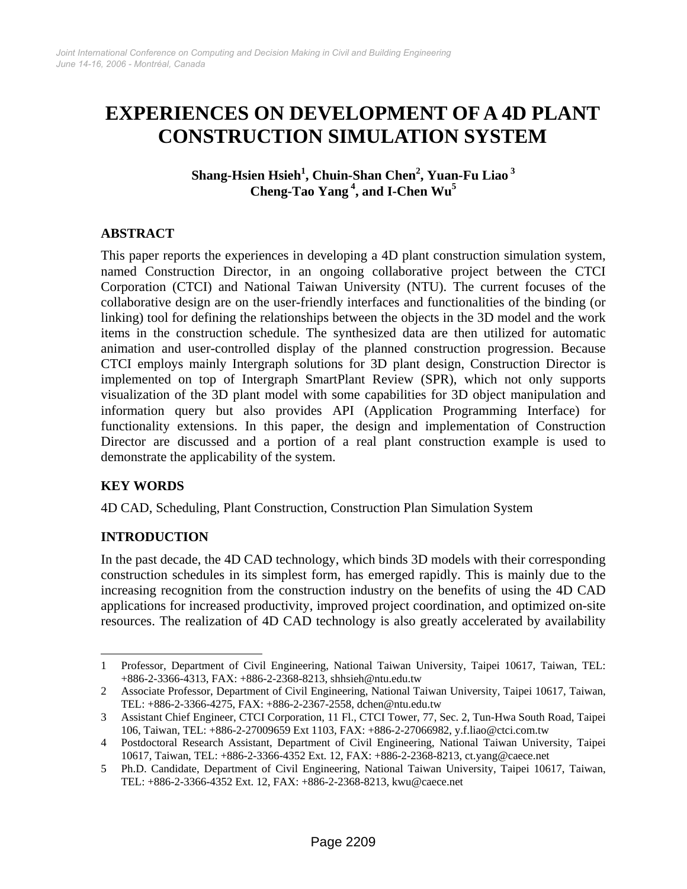# **EXPERIENCES ON DEVELOPMENT OF A 4D PLANT CONSTRUCTION SIMULATION SYSTEM**

 $\boldsymbol{\mathrm{Shang\text{-}Hsen\text{-}Ksel}}^1$ , Chuin-Shan Chen<sup>[2](#page-0-1)</sup>, Yuan-Fu Liao $^3$ **Cheng-Tao Yang 4[,](#page-0-3) and I-Chen Wu5**

#### **ABSTRACT**

This paper reports the experiences in developing a 4D plant construction simulation system, named Construction Director, in an ongoing collaborative project between the CTCI Corporation (CTCI) and National Taiwan University (NTU). The current focuses of the collaborative design are on the user-friendly interfaces and functionalities of the binding (or linking) tool for defining the relationships between the objects in the 3D model and the work items in the construction schedule. The synthesized data are then utilized for automatic animation and user-controlled display of the planned construction progression. Because CTCI employs mainly Intergraph solutions for 3D plant design, Construction Director is implemented on top of Intergraph SmartPlant Review (SPR), which not only supports visualization of the 3D plant model with some capabilities for 3D object manipulation and information query but also provides API (Application Programming Interface) for functionality extensions. In this paper, the design and implementation of Construction Director are discussed and a portion of a real plant construction example is used to demonstrate the applicability of the system.

#### **KEY WORDS**

 $\overline{a}$ 

4D CAD, Scheduling, Plant Construction, Construction Plan Simulation System

#### **INTRODUCTION**

In the past decade, the 4D CAD technology, which binds 3D models with their corresponding construction schedules in its simplest form, has emerged rapidly. This is mainly due to the increasing recognition from the construction industry on the benefits of using the 4D CAD applications for increased productivity, improved project coordination, and optimized on-site resources. The realization of 4D CAD technology is also greatly accelerated by availability

<span id="page-0-0"></span><sup>1</sup> Professor, Department of Civil Engineering, National Taiwan University, Taipei 10617, Taiwan, TEL: +886-2-3366-4313, FAX: +886-2-2368-8213, shhsieh@ntu.edu.tw

<span id="page-0-1"></span><sup>2</sup> Associate Professor, Department of Civil Engineering, National Taiwan University, Taipei 10617, Taiwan, TEL: +886-2-3366-4275, FAX: +886-2-2367-2558, dchen@ntu.edu.tw

<span id="page-0-2"></span><sup>3</sup> Assistant Chief Engineer, CTCI Corporation, 11 Fl., CTCI Tower, 77, Sec. 2, Tun-Hwa South Road, Taipei 106, Taiwan, TEL: +886-2-27009659 Ext 1103, FAX: +886-2-27066982, y.f.liao@ctci.com.tw

<span id="page-0-3"></span><sup>4</sup> Postdoctoral Research Assistant, Department of Civil Engineering, National Taiwan University, Taipei 10617, Taiwan, TEL: +886-2-3366-4352 Ext. 12, FAX: +886-2-2368-8213, ct.yang@caece.net

<span id="page-0-4"></span><sup>5</sup> Ph.D. Candidate, Department of Civil Engineering, National Taiwan University, Taipei 10617, Taiwan, TEL: +886-2-3366-4352 Ext. 12, FAX: +886-2-2368-8213, kwu@caece.net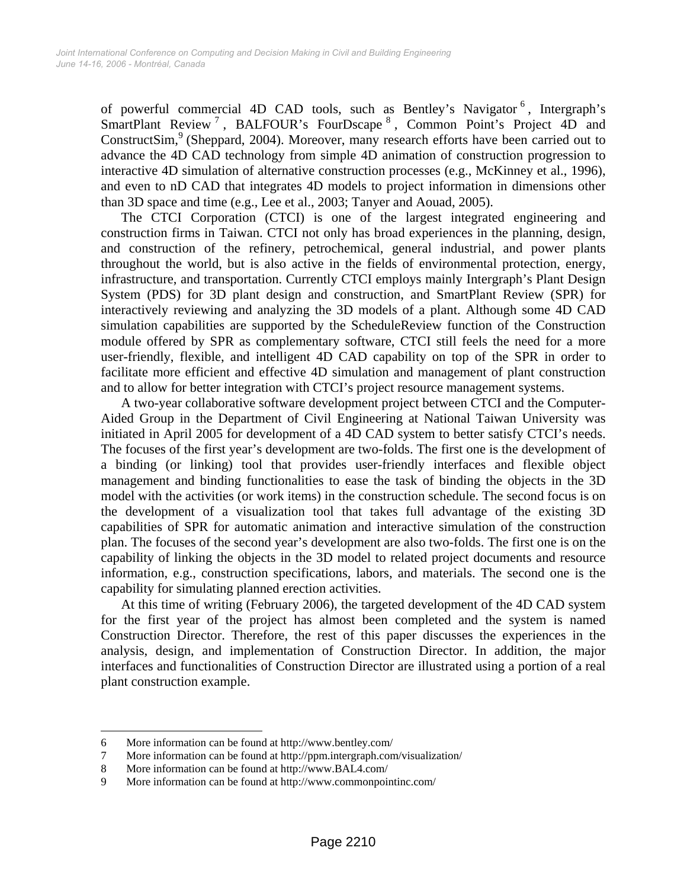of powerful commercial 4D CAD tools[,](#page-1-0) such as Bentley's Navigator<sup>6</sup>, Intergraph's SmartPlant Review<sup>7</sup>[,](#page-1-1) BALFOUR's FourDscape<sup>8</sup>[,](#page-1-2) Common Point's Project 4D and ConstructSim,<sup>9</sup> (Sheppard, 2004). Moreover, many research efforts have been carried out to advance the 4[D](#page-1-3) CAD technology from simple 4D animation of construction progression to interactive 4D simulation of alternative construction processes (e.g., McKinney et al., 1996), and even to nD CAD that integrates 4D models to project information in dimensions other than 3D space and time (e.g., Lee et al., 2003; Tanyer and Aouad, 2005).

The CTCI Corporation (CTCI) is one of the largest integrated engineering and construction firms in Taiwan. CTCI not only has broad experiences in the planning, design, and construction of the refinery, petrochemical, general industrial, and power plants throughout the world, but is also active in the fields of environmental protection, energy, infrastructure, and transportation. Currently CTCI employs mainly Intergraph's Plant Design System (PDS) for 3D plant design and construction, and SmartPlant Review (SPR) for interactively reviewing and analyzing the 3D models of a plant. Although some 4D CAD simulation capabilities are supported by the ScheduleReview function of the Construction module offered by SPR as complementary software, CTCI still feels the need for a more user-friendly, flexible, and intelligent 4D CAD capability on top of the SPR in order to facilitate more efficient and effective 4D simulation and management of plant construction and to allow for better integration with CTCI's project resource management systems.

A two-year collaborative software development project between CTCI and the Computer-Aided Group in the Department of Civil Engineering at National Taiwan University was initiated in April 2005 for development of a 4D CAD system to better satisfy CTCI's needs. The focuses of the first year's development are two-folds. The first one is the development of a binding (or linking) tool that provides user-friendly interfaces and flexible object management and binding functionalities to ease the task of binding the objects in the 3D model with the activities (or work items) in the construction schedule. The second focus is on the development of a visualization tool that takes full advantage of the existing 3D capabilities of SPR for automatic animation and interactive simulation of the construction plan. The focuses of the second year's development are also two-folds. The first one is on the capability of linking the objects in the 3D model to related project documents and resource information, e.g., construction specifications, labors, and materials. The second one is the capability for simulating planned erection activities.

At this time of writing (February 2006), the targeted development of the 4D CAD system for the first year of the project has almost been completed and the system is named Construction Director. Therefore, the rest of this paper discusses the experiences in the analysis, design, and implementation of Construction Director. In addition, the major interfaces and functionalities of Construction Director are illustrated using a portion of a real plant construction example.

 $\overline{a}$ 

<span id="page-1-0"></span><sup>6</sup> More information can be found at <http://www.bentley.com/>

<span id="page-1-1"></span><sup>7</sup> More information can be found at <http://ppm.intergraph.com/visualization/>

<span id="page-1-2"></span><sup>8</sup> More information can be found at [http://www.BAL4.com/](http://www.bal4.com/)

<span id="page-1-3"></span><sup>9</sup> More information can be found at <http://www.commonpointinc.com/>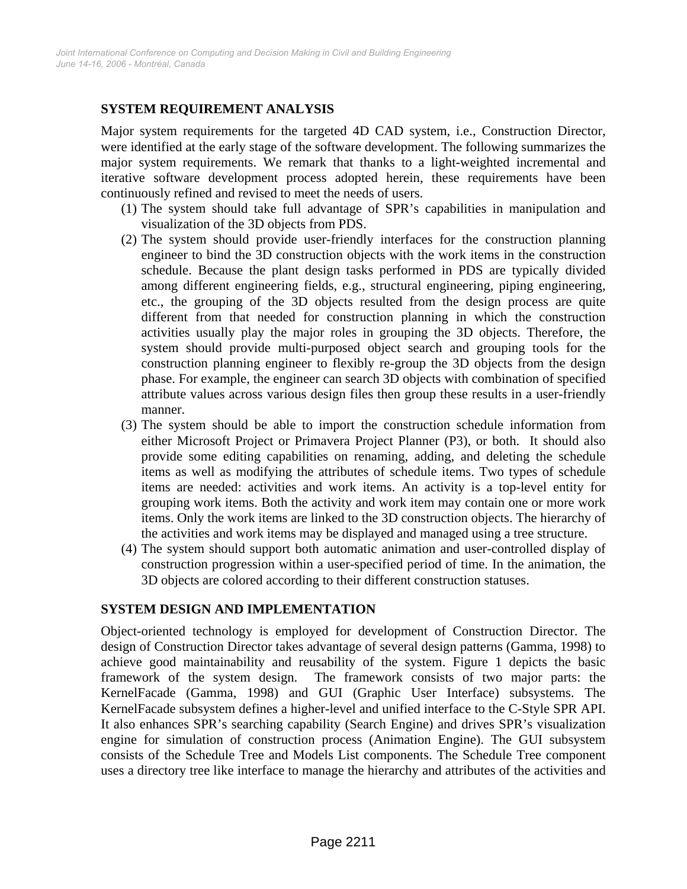# **SYSTEM REQUIREMENT ANALYSIS**

Major system requirements for the targeted 4D CAD system, i.e., Construction Director, were identified at the early stage of the software development. The following summarizes the major system requirements. We remark that thanks to a light-weighted incremental and iterative software development process adopted herein, these requirements have been continuously refined and revised to meet the needs of users.

- (1) The system should take full advantage of SPR's capabilities in manipulation and visualization of the 3D objects from PDS.
- (2) The system should provide user-friendly interfaces for the construction planning engineer to bind the 3D construction objects with the work items in the construction schedule. Because the plant design tasks performed in PDS are typically divided among different engineering fields, e.g., structural engineering, piping engineering, etc., the grouping of the 3D objects resulted from the design process are quite different from that needed for construction planning in which the construction activities usually play the major roles in grouping the 3D objects. Therefore, the system should provide multi-purposed object search and grouping tools for the construction planning engineer to flexibly re-group the 3D objects from the design phase. For example, the engineer can search 3D objects with combination of specified attribute values across various design files then group these results in a user-friendly manner.
- (3) The system should be able to import the construction schedule information from either Microsoft Project or Primavera Project Planner (P3), or both. It should also provide some editing capabilities on renaming, adding, and deleting the schedule items as well as modifying the attributes of schedule items. Two types of schedule items are needed: activities and work items. An activity is a top-level entity for grouping work items. Both the activity and work item may contain one or more work items. Only the work items are linked to the 3D construction objects. The hierarchy of the activities and work items may be displayed and managed using a tree structure.
- (4) The system should support both automatic animation and user-controlled display of construction progression within a user-specified period of time. In the animation, the 3D objects are colored according to their different construction statuses.

#### **SYSTEM DESIGN AND IMPLEMENTATION**

Object-oriented technology is employed for development of Construction Director. The design of Construction Director takes advantage of several design patterns (Gamma, 1998) to achieve good maintainability and reusability of the system. Figure 1 depicts the basic framework of the system design. The framework consists of two major parts: the KernelFacade (Gamma, 1998) and GUI (Graphic User Interface) subsystems. The KernelFacade subsystem defines a higher-level and unified interface to the C-Style SPR API. It also enhances SPR's searching capability (Search Engine) and drives SPR's visualization engine for simulation of construction process (Animation Engine). The GUI subsystem consists of the Schedule Tree and Models List components. The Schedule Tree component uses a directory tree like interface to manage the hierarchy and attributes of the activities and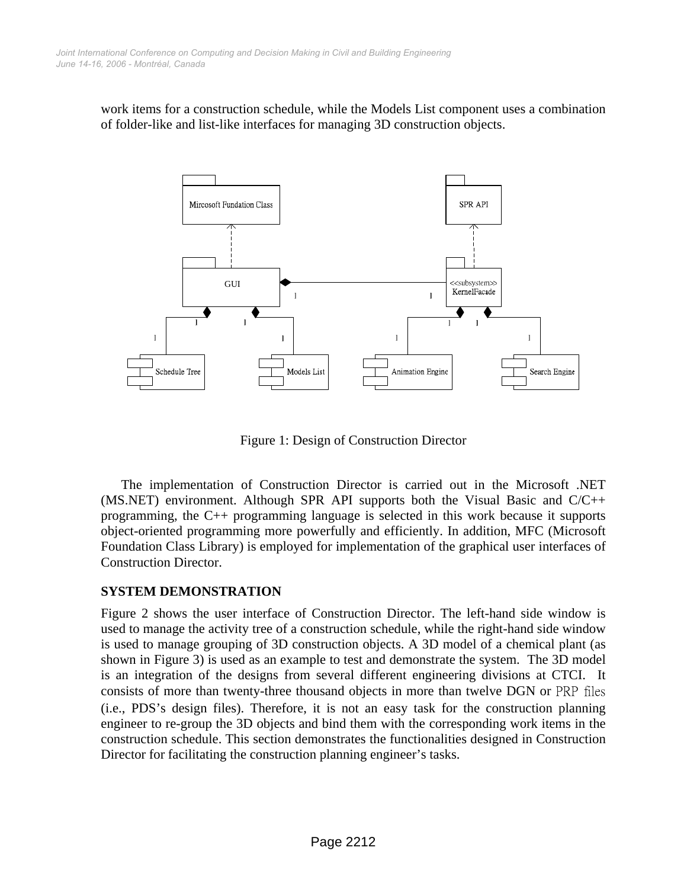work items for a construction schedule, while the Models List component uses a combination of folder-like and list-like interfaces for managing 3D construction objects.



Figure 1: Design of Construction Director

The implementation of Construction Director is carried out in the Microsoft .NET (MS.NET) environment. Although SPR API supports both the Visual Basic and  $C/C++$ programming, the C++ programming language is selected in this work because it supports object-oriented programming more powerfully and efficiently. In addition, MFC (Microsoft Foundation Class Library) is employed for implementation of the graphical user interfaces of Construction Director.

#### **SYSTEM DEMONSTRATION**

Figure 2 shows the user interface of Construction Director. The left-hand side window is used to manage the activity tree of a construction schedule, while the right-hand side window is used to manage grouping of 3D construction objects. A 3D model of a chemical plant (as shown in Figure 3) is used as an example to test and demonstrate the system. The 3D model is an integration of the designs from several different engineering divisions at CTCI. It consists of more than twenty-three thousand objects in more than twelve DGN or PRP files (i.e., PDS's design files). Therefore, it is not an easy task for the construction planning engineer to re-group the 3D objects and bind them with the corresponding work items in the construction schedule. This section demonstrates the functionalities designed in Construction Director for facilitating the construction planning engineer's tasks.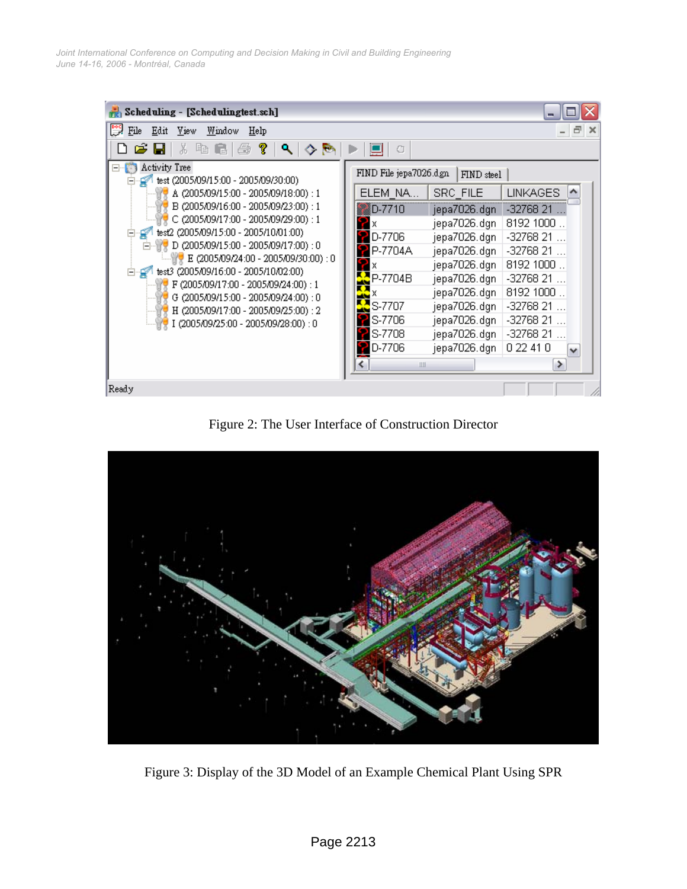

Figure 2: The User Interface of Construction Director



Figure 3: Display of the 3D Model of an Example Chemical Plant Using SPR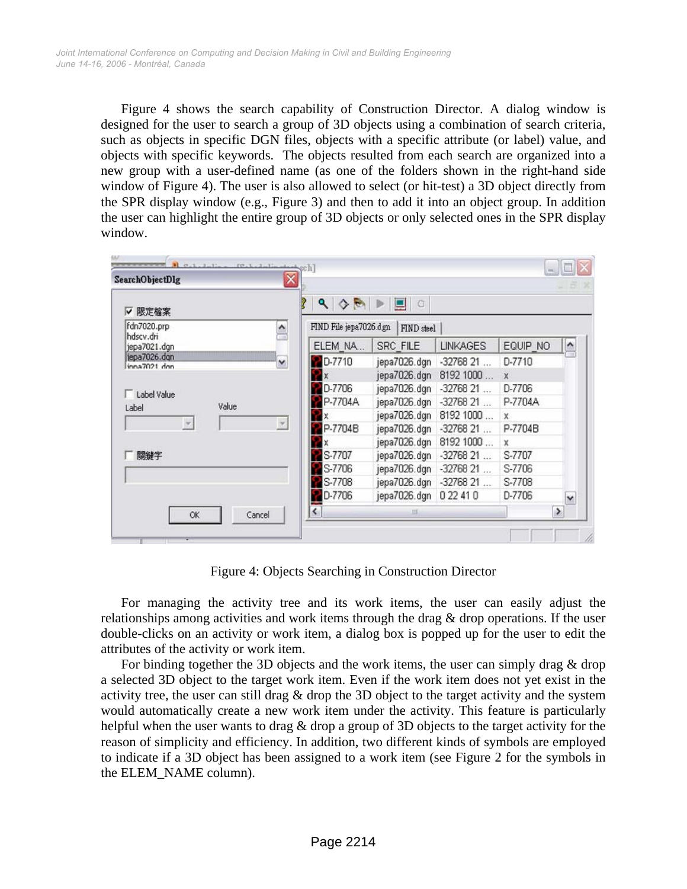Figure 4 shows the search capability of Construction Director. A dialog window is designed for the user to search a group of 3D objects using a combination of search criteria, such as objects in specific DGN files, objects with a specific attribute (or label) value, and objects with specific keywords. The objects resulted from each search are organized into a new group with a user-defined name (as one of the folders shown in the right-hand side window of Figure 4). The user is also allowed to select (or hit-test) a 3D object directly from the SPR display window (e.g., Figure 3) and then to add it into an object group. In addition the user can highlight the entire group of 3D objects or only selected ones in the SPR display window.

| ▽ 限定檔案                                       | $\mathbf{Q}$<br>♦<br>Þ   | O               |                 |          |                     |
|----------------------------------------------|--------------------------|-----------------|-----------------|----------|---------------------|
| fdn7020.prp<br>۸                             | FIND File jepa7026.dgn   | FIND steel      |                 |          |                     |
| hdscv.dri<br>jepa7021.dgn                    | ELEM NA                  | <b>SRC FILE</b> | <b>LINKAGES</b> | EQUIP NO | $\hat{\phantom{a}}$ |
| jepa7026.dgn<br>$\checkmark$<br>inna7021 don | <b>PD-7710</b>           | jepa7026.dgn    | $-3276821$      | D-7710   |                     |
|                                              |                          | jepa7026.dgn    | 8192 1000       | X        |                     |
| Label Value                                  | D-7706                   | jepa7026.dgn    | $-3276821$      | D-7706   |                     |
| Value<br>Label                               | P-7704A                  | jepa7026.dgn    | $-3276821$      | P-7704A  |                     |
|                                              |                          | jepa7026.dgn    | 8192 1000       | x        |                     |
| $\overline{\tau}$<br>$\tau$                  | P-7704B                  | jepa7026.dgn    | $-3276821$      | P-7704B  |                     |
|                                              |                          | jepa7026.dgn    | 8192 1000       | x        |                     |
| 關鍵字                                          | S-7707                   | jepa7026.dgn    | $-3276821$      | S-7707   |                     |
|                                              | S-7706                   | jepa7026.dgn    | $-3276821$      | S-7706   |                     |
|                                              | S-7708                   | jepa7026.dgn    | $-3276821$      | S-7708   |                     |
|                                              | D-7706                   | jepa7026.dgn    | 0 22 41 0       | D-7706   | $\checkmark$        |
| Cancel<br>OK                                 | $\overline{\phantom{0}}$ | <b>III</b>      |                 |          | $\rightarrow$       |

Figure 4: Objects Searching in Construction Director

For managing the activity tree and its work items, the user can easily adjust the relationships among activities and work items through the drag & drop operations. If the user double-clicks on an activity or work item, a dialog box is popped up for the user to edit the attributes of the activity or work item.

For binding together the 3D objects and the work items, the user can simply drag & drop a selected 3D object to the target work item. Even if the work item does not yet exist in the activity tree, the user can still drag  $\&$  drop the 3D object to the target activity and the system would automatically create a new work item under the activity. This feature is particularly helpful when the user wants to drag & drop a group of 3D objects to the target activity for the reason of simplicity and efficiency. In addition, two different kinds of symbols are employed to indicate if a 3D object has been assigned to a work item (see Figure 2 for the symbols in the ELEM\_NAME column).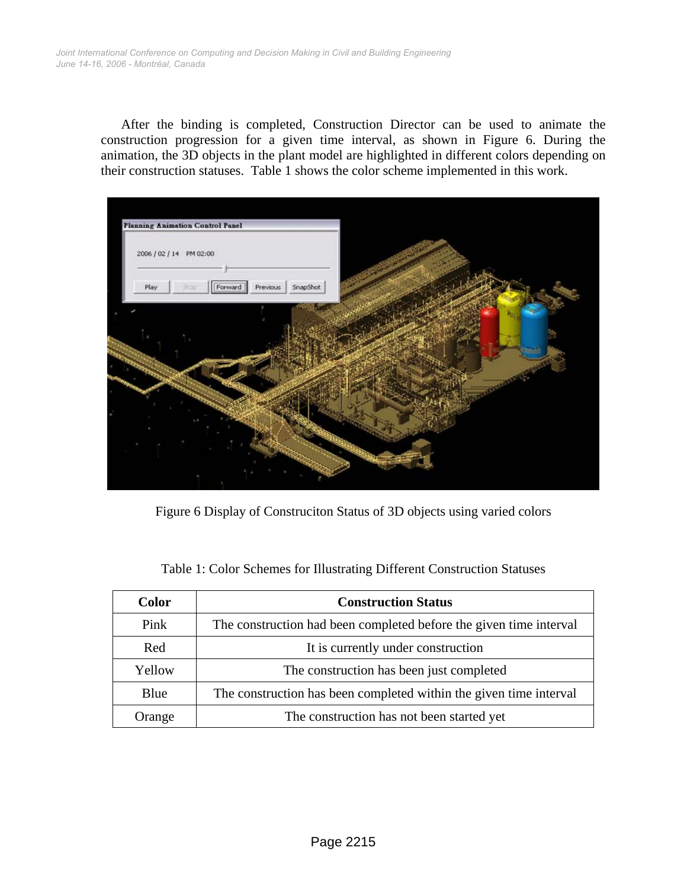After the binding is completed, Construction Director can be used to animate the construction progression for a given time interval, as shown in Figure 6. During the animation, the 3D objects in the plant model are highlighted in different colors depending on their construction statuses. Table 1 shows the color scheme implemented in this work.



Figure 6 Display of Construciton Status of 3D objects using varied colors

| <b>Color</b> | <b>Construction Status</b>                                         |  |  |  |  |
|--------------|--------------------------------------------------------------------|--|--|--|--|
| Pink         | The construction had been completed before the given time interval |  |  |  |  |
| Red          | It is currently under construction                                 |  |  |  |  |
| Yellow       | The construction has been just completed                           |  |  |  |  |
| Blue         | The construction has been completed within the given time interval |  |  |  |  |
| Orange       | The construction has not been started yet                          |  |  |  |  |

|  |  |  | Table 1: Color Schemes for Illustrating Different Construction Statuses |  |
|--|--|--|-------------------------------------------------------------------------|--|
|  |  |  |                                                                         |  |
|  |  |  |                                                                         |  |